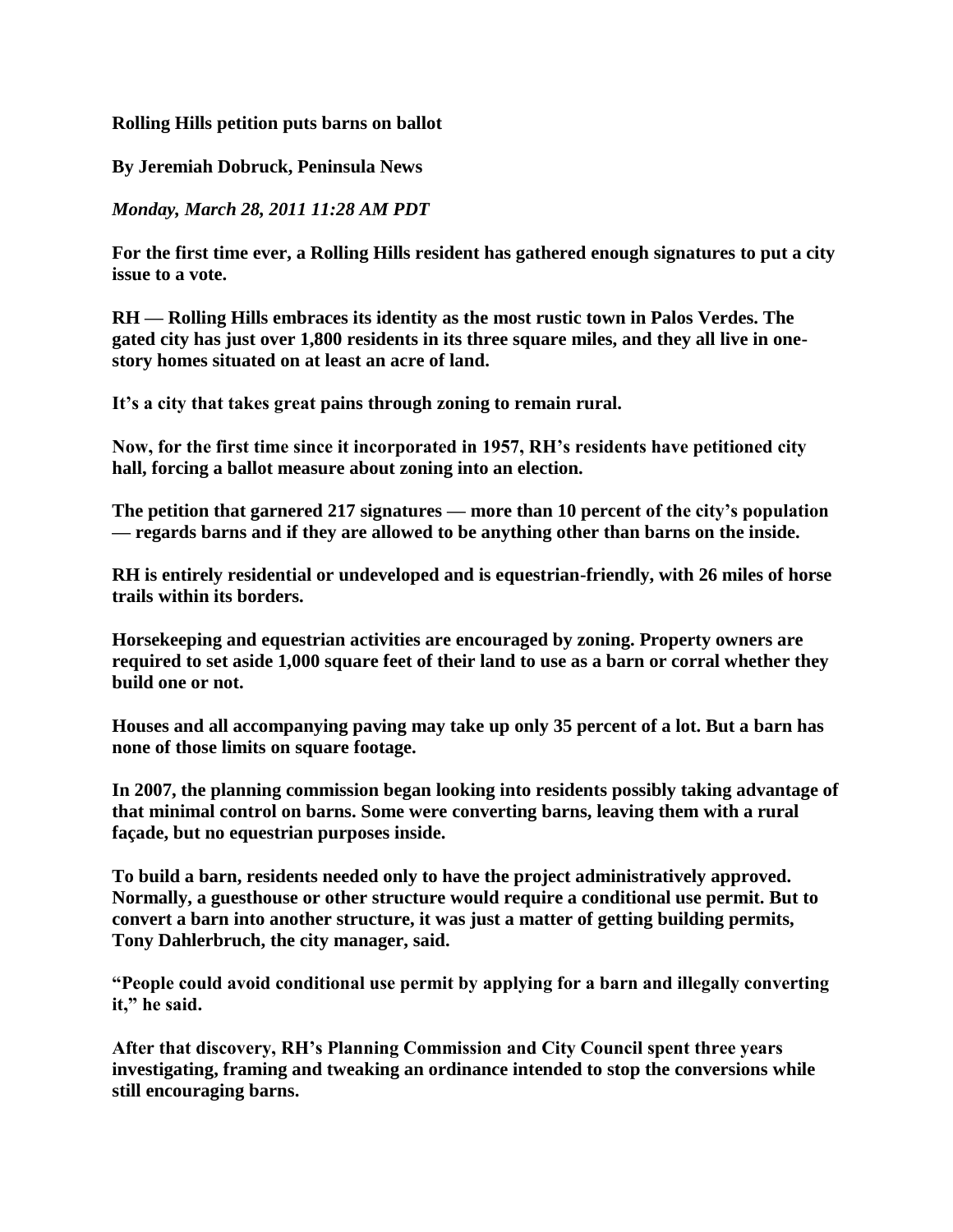## **Rolling Hills petition puts barns on ballot**

## **By Jeremiah Dobruck, Peninsula News**

## *Monday, March 28, 2011 11:28 AM PDT*

**For the first time ever, a Rolling Hills resident has gathered enough signatures to put a city issue to a vote.**

**RH — Rolling Hills embraces its identity as the most rustic town in Palos Verdes. The gated city has just over 1,800 residents in its three square miles, and they all live in onestory homes situated on at least an acre of land.**

**It"s a city that takes great pains through zoning to remain rural.**

**Now, for the first time since it incorporated in 1957, RH"s residents have petitioned city hall, forcing a ballot measure about zoning into an election.**

**The petition that garnered 217 signatures — more than 10 percent of the city"s population — regards barns and if they are allowed to be anything other than barns on the inside.**

**RH is entirely residential or undeveloped and is equestrian-friendly, with 26 miles of horse trails within its borders.**

**Horsekeeping and equestrian activities are encouraged by zoning. Property owners are required to set aside 1,000 square feet of their land to use as a barn or corral whether they build one or not.**

**Houses and all accompanying paving may take up only 35 percent of a lot. But a barn has none of those limits on square footage.**

**In 2007, the planning commission began looking into residents possibly taking advantage of that minimal control on barns. Some were converting barns, leaving them with a rural façade, but no equestrian purposes inside.**

**To build a barn, residents needed only to have the project administratively approved. Normally, a guesthouse or other structure would require a conditional use permit. But to convert a barn into another structure, it was just a matter of getting building permits, Tony Dahlerbruch, the city manager, said.**

**"People could avoid conditional use permit by applying for a barn and illegally converting it," he said.**

**After that discovery, RH"s Planning Commission and City Council spent three years investigating, framing and tweaking an ordinance intended to stop the conversions while still encouraging barns.**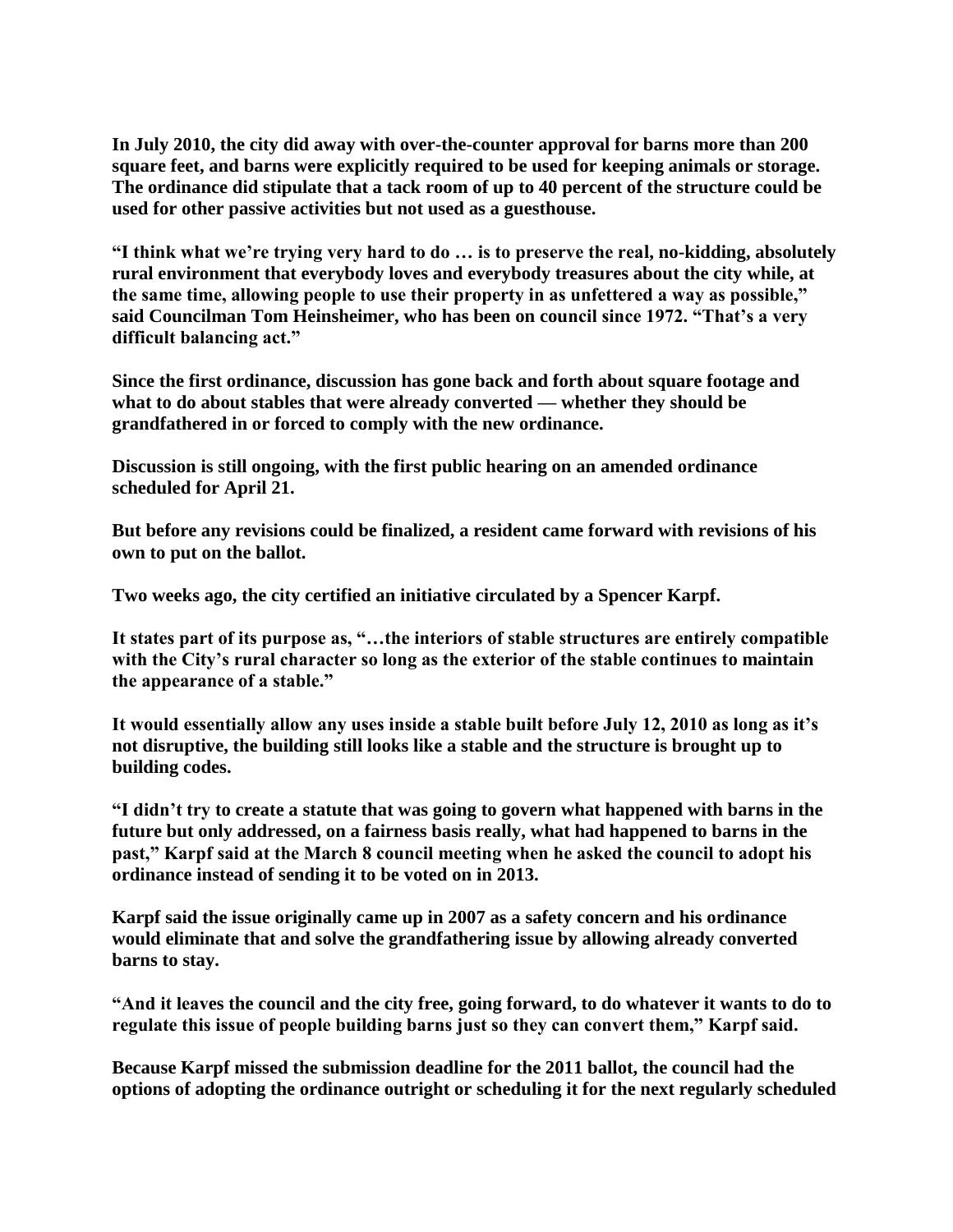**In July 2010, the city did away with over-the-counter approval for barns more than 200 square feet, and barns were explicitly required to be used for keeping animals or storage. The ordinance did stipulate that a tack room of up to 40 percent of the structure could be used for other passive activities but not used as a guesthouse.**

**"I think what we"re trying very hard to do … is to preserve the real, no-kidding, absolutely rural environment that everybody loves and everybody treasures about the city while, at the same time, allowing people to use their property in as unfettered a way as possible," said Councilman Tom Heinsheimer, who has been on council since 1972. "That"s a very difficult balancing act."**

**Since the first ordinance, discussion has gone back and forth about square footage and what to do about stables that were already converted — whether they should be grandfathered in or forced to comply with the new ordinance.**

**Discussion is still ongoing, with the first public hearing on an amended ordinance scheduled for April 21.**

**But before any revisions could be finalized, a resident came forward with revisions of his own to put on the ballot.**

**Two weeks ago, the city certified an initiative circulated by a Spencer Karpf.**

**It states part of its purpose as, "…the interiors of stable structures are entirely compatible with the City"s rural character so long as the exterior of the stable continues to maintain the appearance of a stable."**

**It would essentially allow any uses inside a stable built before July 12, 2010 as long as it"s not disruptive, the building still looks like a stable and the structure is brought up to building codes.**

**"I didn"t try to create a statute that was going to govern what happened with barns in the future but only addressed, on a fairness basis really, what had happened to barns in the past," Karpf said at the March 8 council meeting when he asked the council to adopt his ordinance instead of sending it to be voted on in 2013.**

**Karpf said the issue originally came up in 2007 as a safety concern and his ordinance would eliminate that and solve the grandfathering issue by allowing already converted barns to stay.**

**"And it leaves the council and the city free, going forward, to do whatever it wants to do to regulate this issue of people building barns just so they can convert them," Karpf said.**

**Because Karpf missed the submission deadline for the 2011 ballot, the council had the options of adopting the ordinance outright or scheduling it for the next regularly scheduled**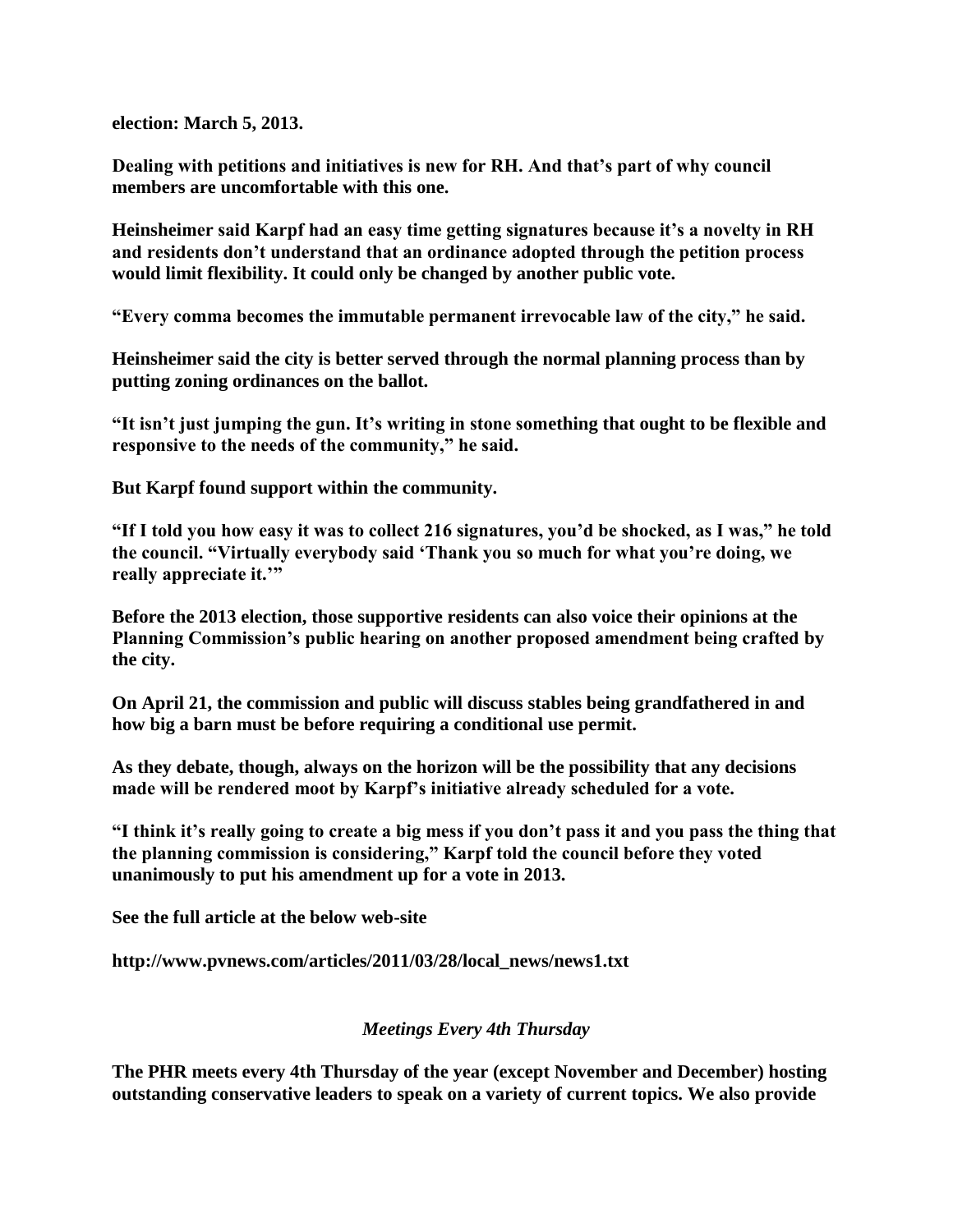**election: March 5, 2013.**

**Dealing with petitions and initiatives is new for RH. And that"s part of why council members are uncomfortable with this one.**

**Heinsheimer said Karpf had an easy time getting signatures because it"s a novelty in RH and residents don"t understand that an ordinance adopted through the petition process would limit flexibility. It could only be changed by another public vote.**

**"Every comma becomes the immutable permanent irrevocable law of the city," he said.**

**Heinsheimer said the city is better served through the normal planning process than by putting zoning ordinances on the ballot.**

**"It isn"t just jumping the gun. It"s writing in stone something that ought to be flexible and responsive to the needs of the community," he said.**

**But Karpf found support within the community.**

**"If I told you how easy it was to collect 216 signatures, you"d be shocked, as I was," he told the council. "Virtually everybody said "Thank you so much for what you"re doing, we really appreciate it.""**

**Before the 2013 election, those supportive residents can also voice their opinions at the Planning Commission"s public hearing on another proposed amendment being crafted by the city.**

**On April 21, the commission and public will discuss stables being grandfathered in and how big a barn must be before requiring a conditional use permit.**

**As they debate, though, always on the horizon will be the possibility that any decisions made will be rendered moot by Karpf"s initiative already scheduled for a vote.**

**"I think it"s really going to create a big mess if you don"t pass it and you pass the thing that the planning commission is considering," Karpf told the council before they voted unanimously to put his amendment up for a vote in 2013.**

**See the full article at the below web-site**

**http://www.pvnews.com/articles/2011/03/28/local\_news/news1.txt**

## *Meetings Every 4th Thursday*

**The PHR meets every 4th Thursday of the year (except November and December) hosting outstanding conservative leaders to speak on a variety of current topics. We also provide**